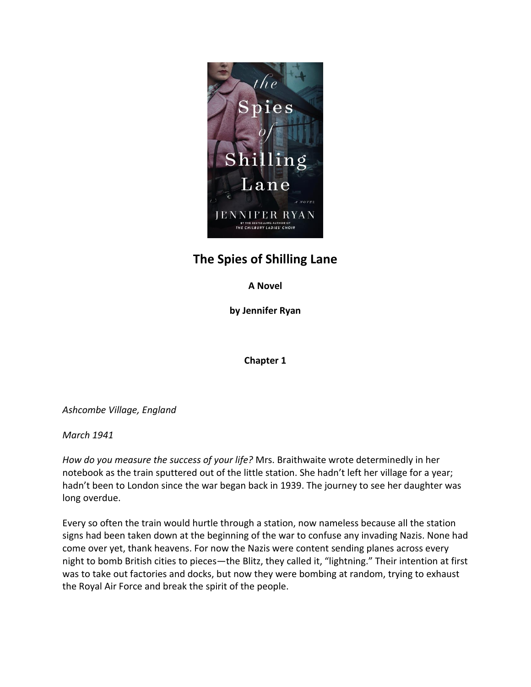

## **The Spies of Shilling Lane**

**A Novel**

**by Jennifer Ryan**

**Chapter 1**

*Ashcombe Village, England*

*March 1941*

*How do you measure the success of your life?* Mrs. Braithwaite wrote determinedly in her notebook as the train sputtered out of the little station. She hadn't left her village for a year; hadn't been to London since the war began back in 1939. The journey to see her daughter was long overdue.

Every so often the train would hurtle through a station, now nameless because all the station signs had been taken down at the beginning of the war to confuse any invading Nazis. None had come over yet, thank heavens. For now the Nazis were content sending planes across every night to bomb British cities to pieces—the Blitz, they called it, "lightning." Their intention at first was to take out factories and docks, but now they were bombing at random, trying to exhaust the Royal Air Force and break the spirit of the people.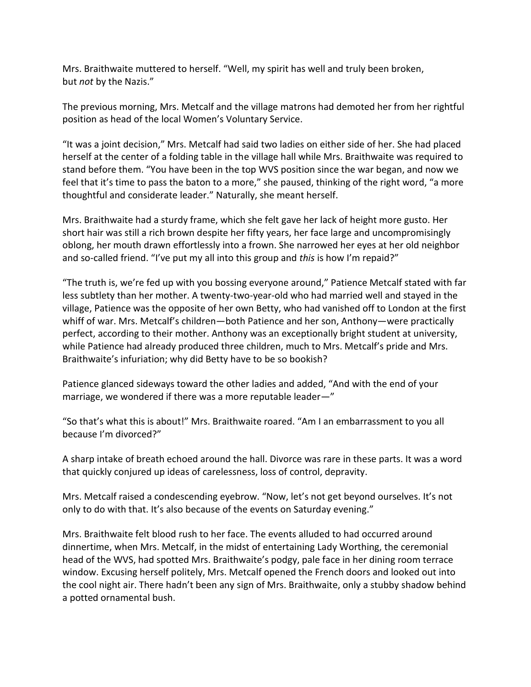Mrs. Braithwaite muttered to herself. "Well, my spirit has well and truly been broken, but *not* by the Nazis."

The previous morning, Mrs. Metcalf and the village matrons had demoted her from her rightful position as head of the local Women's Voluntary Service.

"It was a joint decision," Mrs. Metcalf had said two ladies on either side of her. She had placed herself at the center of a folding table in the village hall while Mrs. Braithwaite was required to stand before them. "You have been in the top WVS position since the war began, and now we feel that it's time to pass the baton to a more," she paused, thinking of the right word, "a more thoughtful and considerate leader." Naturally, she meant herself.

Mrs. Braithwaite had a sturdy frame, which she felt gave her lack of height more gusto. Her short hair was still a rich brown despite her fifty years, her face large and uncompromisingly oblong, her mouth drawn effortlessly into a frown. She narrowed her eyes at her old neighbor and so-called friend. "I've put my all into this group and *this* is how I'm repaid?"

"The truth is, we're fed up with you bossing everyone around," Patience Metcalf stated with far less subtlety than her mother. A twenty-two-year-old who had married well and stayed in the village, Patience was the opposite of her own Betty, who had vanished off to London at the first whiff of war. Mrs. Metcalf's children—both Patience and her son, Anthony—were practically perfect, according to their mother. Anthony was an exceptionally bright student at university, while Patience had already produced three children, much to Mrs. Metcalf's pride and Mrs. Braithwaite's infuriation; why did Betty have to be so bookish?

Patience glanced sideways toward the other ladies and added, "And with the end of your marriage, we wondered if there was a more reputable leader—"

"So that's what this is about!" Mrs. Braithwaite roared. "Am I an embarrassment to you all because I'm divorced?"

A sharp intake of breath echoed around the hall. Divorce was rare in these parts. It was a word that quickly conjured up ideas of carelessness, loss of control, depravity.

Mrs. Metcalf raised a condescending eyebrow. "Now, let's not get beyond ourselves. It's not only to do with that. It's also because of the events on Saturday evening."

Mrs. Braithwaite felt blood rush to her face. The events alluded to had occurred around dinnertime, when Mrs. Metcalf, in the midst of entertaining Lady Worthing, the ceremonial head of the WVS, had spotted Mrs. Braithwaite's podgy, pale face in her dining room terrace window. Excusing herself politely, Mrs. Metcalf opened the French doors and looked out into the cool night air. There hadn't been any sign of Mrs. Braithwaite, only a stubby shadow behind a potted ornamental bush.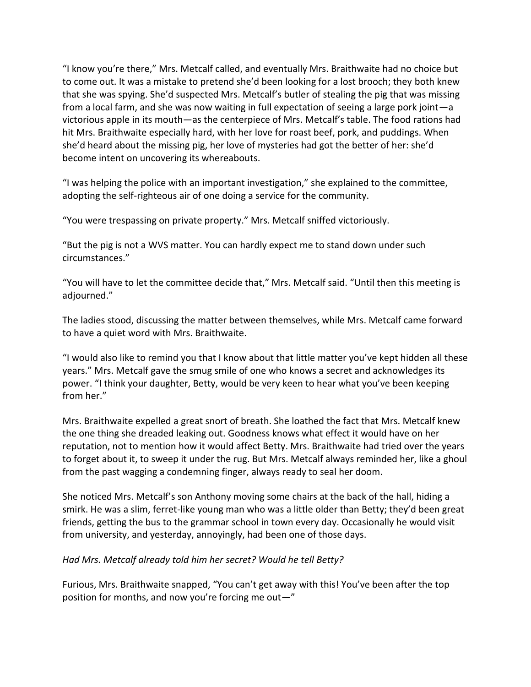"I know you're there," Mrs. Metcalf called, and eventually Mrs. Braithwaite had no choice but to come out. It was a mistake to pretend she'd been looking for a lost brooch; they both knew that she was spying. She'd suspected Mrs. Metcalf's butler of stealing the pig that was missing from a local farm, and she was now waiting in full expectation of seeing a large pork joint—a victorious apple in its mouth—as the centerpiece of Mrs. Metcalf's table. The food rations had hit Mrs. Braithwaite especially hard, with her love for roast beef, pork, and puddings. When she'd heard about the missing pig, her love of mysteries had got the better of her: she'd become intent on uncovering its whereabouts.

"I was helping the police with an important investigation," she explained to the committee, adopting the self-righteous air of one doing a service for the community.

"You were trespassing on private property." Mrs. Metcalf sniffed victoriously.

"But the pig is not a WVS matter. You can hardly expect me to stand down under such circumstances."

"You will have to let the committee decide that," Mrs. Metcalf said. "Until then this meeting is adjourned."

The ladies stood, discussing the matter between themselves, while Mrs. Metcalf came forward to have a quiet word with Mrs. Braithwaite.

"I would also like to remind you that I know about that little matter you've kept hidden all these years." Mrs. Metcalf gave the smug smile of one who knows a secret and acknowledges its power. "I think your daughter, Betty, would be very keen to hear what you've been keeping from her."

Mrs. Braithwaite expelled a great snort of breath. She loathed the fact that Mrs. Metcalf knew the one thing she dreaded leaking out. Goodness knows what effect it would have on her reputation, not to mention how it would affect Betty. Mrs. Braithwaite had tried over the years to forget about it, to sweep it under the rug. But Mrs. Metcalf always reminded her, like a ghoul from the past wagging a condemning finger, always ready to seal her doom.

She noticed Mrs. Metcalf's son Anthony moving some chairs at the back of the hall, hiding a smirk. He was a slim, ferret-like young man who was a little older than Betty; they'd been great friends, getting the bus to the grammar school in town every day. Occasionally he would visit from university, and yesterday, annoyingly, had been one of those days.

## *Had Mrs. Metcalf already told him her secret? Would he tell Betty?*

Furious, Mrs. Braithwaite snapped, "You can't get away with this! You've been after the top position for months, and now you're forcing me out—"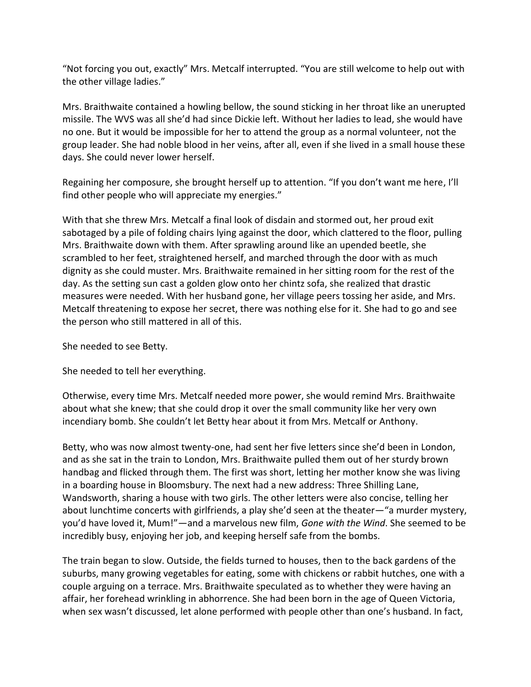"Not forcing you out, exactly" Mrs. Metcalf interrupted. "You are still welcome to help out with the other village ladies."

Mrs. Braithwaite contained a howling bellow, the sound sticking in her throat like an unerupted missile. The WVS was all she'd had since Dickie left. Without her ladies to lead, she would have no one. But it would be impossible for her to attend the group as a normal volunteer, not the group leader. She had noble blood in her veins, after all, even if she lived in a small house these days. She could never lower herself.

Regaining her composure, she brought herself up to attention. "If you don't want me here, I'll find other people who will appreciate my energies."

With that she threw Mrs. Metcalf a final look of disdain and stormed out, her proud exit sabotaged by a pile of folding chairs lying against the door, which clattered to the floor, pulling Mrs. Braithwaite down with them. After sprawling around like an upended beetle, she scrambled to her feet, straightened herself, and marched through the door with as much dignity as she could muster. Mrs. Braithwaite remained in her sitting room for the rest of the day. As the setting sun cast a golden glow onto her chintz sofa, she realized that drastic measures were needed. With her husband gone, her village peers tossing her aside, and Mrs. Metcalf threatening to expose her secret, there was nothing else for it. She had to go and see the person who still mattered in all of this.

She needed to see Betty.

She needed to tell her everything.

Otherwise, every time Mrs. Metcalf needed more power, she would remind Mrs. Braithwaite about what she knew; that she could drop it over the small community like her very own incendiary bomb. She couldn't let Betty hear about it from Mrs. Metcalf or Anthony.

Betty, who was now almost twenty-one, had sent her five letters since she'd been in London, and as she sat in the train to London, Mrs. Braithwaite pulled them out of her sturdy brown handbag and flicked through them. The first was short, letting her mother know she was living in a boarding house in Bloomsbury. The next had a new address: Three Shilling Lane, Wandsworth, sharing a house with two girls. The other letters were also concise, telling her about lunchtime concerts with girlfriends, a play she'd seen at the theater—"a murder mystery, you'd have loved it, Mum!"—and a marvelous new film, *Gone with the Wind*. She seemed to be incredibly busy, enjoying her job, and keeping herself safe from the bombs.

The train began to slow. Outside, the fields turned to houses, then to the back gardens of the suburbs, many growing vegetables for eating, some with chickens or rabbit hutches, one with a couple arguing on a terrace. Mrs. Braithwaite speculated as to whether they were having an affair, her forehead wrinkling in abhorrence. She had been born in the age of Queen Victoria, when sex wasn't discussed, let alone performed with people other than one's husband. In fact,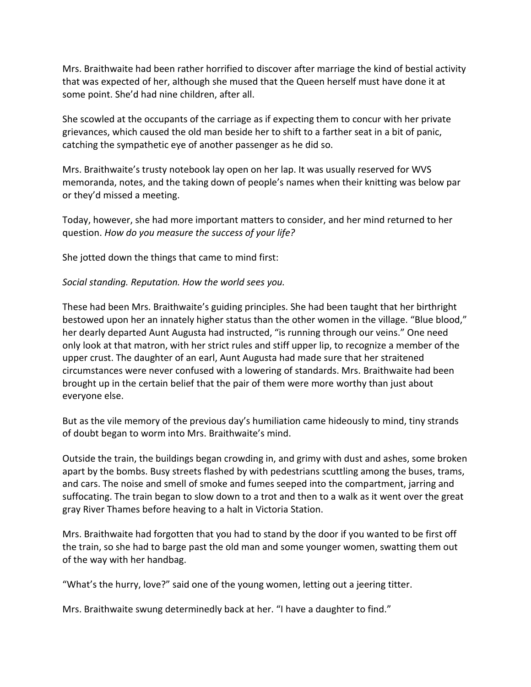Mrs. Braithwaite had been rather horrified to discover after marriage the kind of bestial activity that was expected of her, although she mused that the Queen herself must have done it at some point. She'd had nine children, after all.

She scowled at the occupants of the carriage as if expecting them to concur with her private grievances, which caused the old man beside her to shift to a farther seat in a bit of panic, catching the sympathetic eye of another passenger as he did so.

Mrs. Braithwaite's trusty notebook lay open on her lap. It was usually reserved for WVS memoranda, notes, and the taking down of people's names when their knitting was below par or they'd missed a meeting.

Today, however, she had more important matters to consider, and her mind returned to her question. *How do you measure the success of your life?*

She jotted down the things that came to mind first:

*Social standing. Reputation. How the world sees you.*

These had been Mrs. Braithwaite's guiding principles. She had been taught that her birthright bestowed upon her an innately higher status than the other women in the village. "Blue blood," her dearly departed Aunt Augusta had instructed, "is running through our veins." One need only look at that matron, with her strict rules and stiff upper lip, to recognize a member of the upper crust. The daughter of an earl, Aunt Augusta had made sure that her straitened circumstances were never confused with a lowering of standards. Mrs. Braithwaite had been brought up in the certain belief that the pair of them were more worthy than just about everyone else.

But as the vile memory of the previous day's humiliation came hideously to mind, tiny strands of doubt began to worm into Mrs. Braithwaite's mind.

Outside the train, the buildings began crowding in, and grimy with dust and ashes, some broken apart by the bombs. Busy streets flashed by with pedestrians scuttling among the buses, trams, and cars. The noise and smell of smoke and fumes seeped into the compartment, jarring and suffocating. The train began to slow down to a trot and then to a walk as it went over the great gray River Thames before heaving to a halt in Victoria Station.

Mrs. Braithwaite had forgotten that you had to stand by the door if you wanted to be first off the train, so she had to barge past the old man and some younger women, swatting them out of the way with her handbag.

"What's the hurry, love?" said one of the young women, letting out a jeering titter.

Mrs. Braithwaite swung determinedly back at her. "I have a daughter to find."